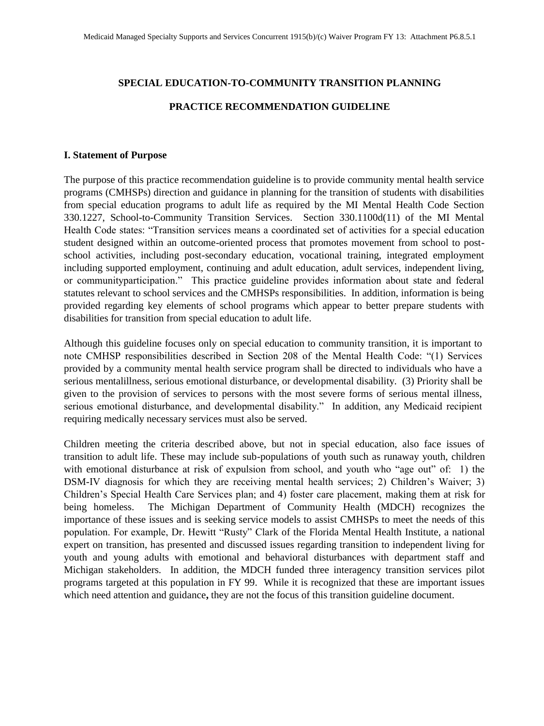## **SPECIAL EDUCATION-TO-COMMUNITY TRANSITION PLANNING**

### **PRACTICE RECOMMENDATION GUIDELINE**

#### **I. Statement of Purpose**

The purpose of this practice recommendation guideline is to provide community mental health service programs (CMHSPs) direction and guidance in planning for the transition of students with disabilities from special education programs to adult life as required by the MI Mental Health Code Section 330.1227, School-to-Community Transition Services. Section 330.1100d(11) of the MI Mental Health Code states: "Transition services means a coordinated set of activities for a special education student designed within an outcome-oriented process that promotes movement from school to postschool activities, including post-secondary education, vocational training, integrated employment including supported employment, continuing and adult education, adult services, independent living, or communityparticipation." This practice guideline provides information about state and federal statutes relevant to school services and the CMHSPs responsibilities. In addition, information is being provided regarding key elements of school programs which appear to better prepare students with disabilities for transition from special education to adult life.

Although this guideline focuses only on special education to community transition, it is important to note CMHSP responsibilities described in Section 208 of the Mental Health Code: "(1) Services provided by a community mental health service program shall be directed to individuals who have a serious mentalillness, serious emotional disturbance, or developmental disability. (3) Priority shall be given to the provision of services to persons with the most severe forms of serious mental illness, serious emotional disturbance, and developmental disability." In addition, any Medicaid recipient requiring medically necessary services must also be served.

Children meeting the criteria described above, but not in special education, also face issues of transition to adult life. These may include sub-populations of youth such as runaway youth, children with emotional disturbance at risk of expulsion from school, and youth who "age out" of: 1) the DSM-IV diagnosis for which they are receiving mental health services; 2) Children's Waiver; 3) Children's Special Health Care Services plan; and 4) foster care placement, making them at risk for being homeless. The Michigan Department of Community Health (MDCH) recognizes the importance of these issues and is seeking service models to assist CMHSPs to meet the needs of this population. For example, Dr. Hewitt "Rusty" Clark of the Florida Mental Health Institute, a national expert on transition, has presented and discussed issues regarding transition to independent living for youth and young adults with emotional and behavioral disturbances with department staff and Michigan stakeholders. In addition, the MDCH funded three interagency transition services pilot programs targeted at this population in FY 99. While it is recognized that these are important issues which need attention and guidance**,** they are not the focus of this transition guideline document.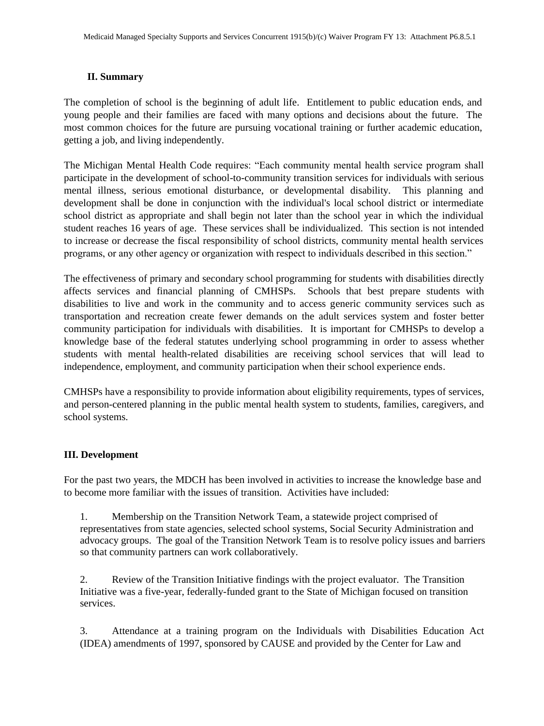# **II. Summary**

The completion of school is the beginning of adult life. Entitlement to public education ends, and young people and their families are faced with many options and decisions about the future. The most common choices for the future are pursuing vocational training or further academic education, getting a job, and living independently.

The Michigan Mental Health Code requires: "Each community mental health service program shall participate in the development of school-to-community transition services for individuals with serious mental illness, serious emotional disturbance, or developmental disability. This planning and development shall be done in conjunction with the individual's local school district or intermediate school district as appropriate and shall begin not later than the school year in which the individual student reaches 16 years of age. These services shall be individualized. This section is not intended to increase or decrease the fiscal responsibility of school districts, community mental health services programs, or any other agency or organization with respect to individuals described in this section."

The effectiveness of primary and secondary school programming for students with disabilities directly affects services and financial planning of CMHSPs. Schools that best prepare students with disabilities to live and work in the community and to access generic community services such as transportation and recreation create fewer demands on the adult services system and foster better community participation for individuals with disabilities. It is important for CMHSPs to develop a knowledge base of the federal statutes underlying school programming in order to assess whether students with mental health-related disabilities are receiving school services that will lead to independence, employment, and community participation when their school experience ends.

CMHSPs have a responsibility to provide information about eligibility requirements, types of services, and person-centered planning in the public mental health system to students, families, caregivers, and school systems.

## **III. Development**

For the past two years, the MDCH has been involved in activities to increase the knowledge base and to become more familiar with the issues of transition. Activities have included:

1. Membership on the Transition Network Team, a statewide project comprised of representatives from state agencies, selected school systems, Social Security Administration and advocacy groups. The goal of the Transition Network Team is to resolve policy issues and barriers so that community partners can work collaboratively.

2. Review of the Transition Initiative findings with the project evaluator. The Transition Initiative was a five-year, federally-funded grant to the State of Michigan focused on transition services.

3. Attendance at a training program on the Individuals with Disabilities Education Act (IDEA) amendments of 1997, sponsored by CAUSE and provided by the Center for Law and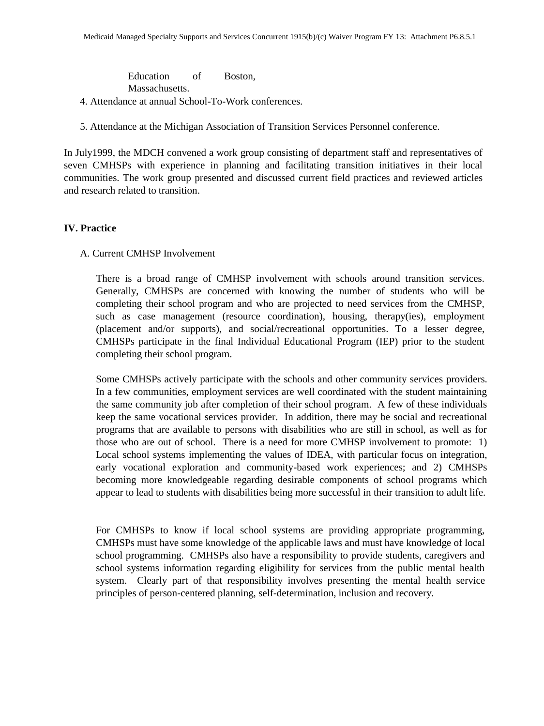Education of Boston, Massachusetts.

4. Attendance at annual School-To-Work conferences.

5. Attendance at the Michigan Association of Transition Services Personnel conference.

In July1999, the MDCH convened a work group consisting of department staff and representatives of seven CMHSPs with experience in planning and facilitating transition initiatives in their local communities. The work group presented and discussed current field practices and reviewed articles and research related to transition.

## **IV. Practice**

A. Current CMHSP Involvement

There is a broad range of CMHSP involvement with schools around transition services. Generally, CMHSPs are concerned with knowing the number of students who will be completing their school program and who are projected to need services from the CMHSP, such as case management (resource coordination), housing, therapy(ies), employment (placement and/or supports), and social/recreational opportunities. To a lesser degree, CMHSPs participate in the final Individual Educational Program (IEP) prior to the student completing their school program.

Some CMHSPs actively participate with the schools and other community services providers. In a few communities, employment services are well coordinated with the student maintaining the same community job after completion of their school program. A few of these individuals keep the same vocational services provider. In addition, there may be social and recreational programs that are available to persons with disabilities who are still in school, as well as for those who are out of school. There is a need for more CMHSP involvement to promote: 1) Local school systems implementing the values of IDEA, with particular focus on integration, early vocational exploration and community-based work experiences; and 2) CMHSPs becoming more knowledgeable regarding desirable components of school programs which appear to lead to students with disabilities being more successful in their transition to adult life.

For CMHSPs to know if local school systems are providing appropriate programming, CMHSPs must have some knowledge of the applicable laws and must have knowledge of local school programming. CMHSPs also have a responsibility to provide students, caregivers and school systems information regarding eligibility for services from the public mental health system. Clearly part of that responsibility involves presenting the mental health service principles of person-centered planning, self-determination, inclusion and recovery.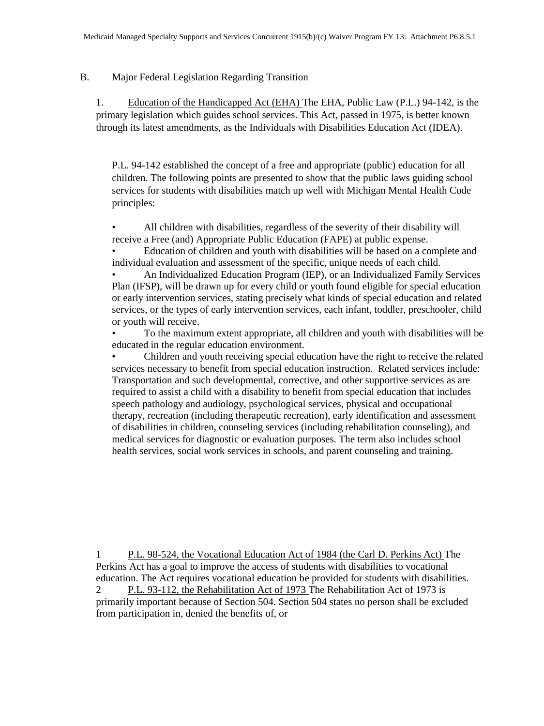## B. Major Federal Legislation Regarding Transition

1. Education of the Handicapped Act (EHA) The EHA, Public Law (P.L.) 94-142, is the primary legislation which guides school services. This Act, passed in 1975, is better known through its latest amendments, as the Individuals with Disabilities Education Act (IDEA).

P.L. 94-142 established the concept of a free and appropriate (public) education for all children. The following points are presented to show that the public laws guiding school services for students with disabilities match up well with Michigan Mental Health Code principles:

• All children with disabilities, regardless of the severity of their disability will receive a Free (and) Appropriate Public Education (FAPE) at public expense.

• Education of children and youth with disabilities will be based on a complete and individual evaluation and assessment of the specific, unique needs of each child.

• An Individualized Education Program (IEP), or an Individualized Family Services Plan (IFSP), will be drawn up for every child or youth found eligible for special education or early intervention services, stating precisely what kinds of special education and related services, or the types of early intervention services, each infant, toddler, preschooler, child or youth will receive.

• To the maximum extent appropriate, all children and youth with disabilities will be educated in the regular education environment.

• Children and youth receiving special education have the right to receive the related services necessary to benefit from special education instruction. Related services include: Transportation and such developmental, corrective, and other supportive services as are required to assist a child with a disability to benefit from special education that includes speech pathology and audiology, psychological services, physical and occupational therapy, recreation (including therapeutic recreation), early identification and assessment of disabilities in children, counseling services (including rehabilitation counseling), and medical services for diagnostic or evaluation purposes. The term also includes school health services, social work services in schools, and parent counseling and training.

1 P.L. 98-524, the Vocational Education Act of 1984 (the Carl D. Perkins Act) The Perkins Act has a goal to improve the access of students with disabilities to vocational education. The Act requires vocational education be provided for students with disabilities. 2 P.L. 93-112, the Rehabilitation Act of 1973 The Rehabilitation Act of 1973 is

primarily important because of Section 504. Section 504 states no person shall be excluded from participation in, denied the benefits of, or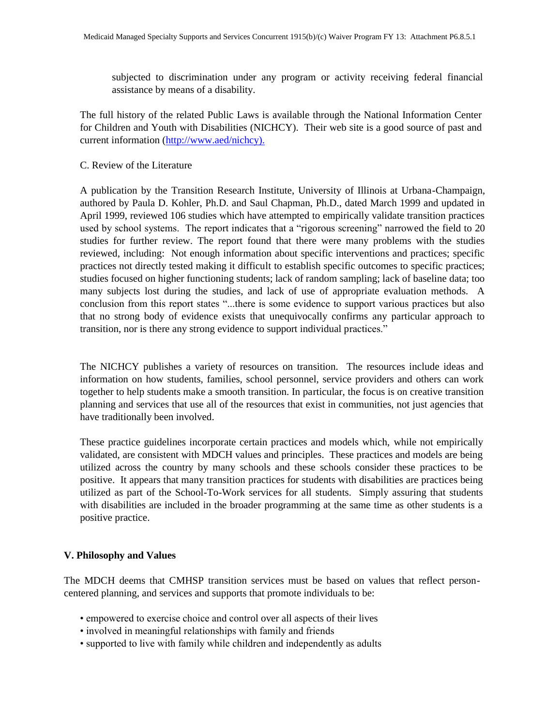subjected to discrimination under any program or activity receiving federal financial assistance by means of a disability.

The full history of the related Public Laws is available through the National Information Center for Children and Youth with Disabilities (NICHCY). Their web site is a good source of past and current information (http://www.aed/nichcy).

## C. Review of the Literature

A publication by the Transition Research Institute, University of Illinois at Urbana-Champaign, authored by Paula D. Kohler, Ph.D. and Saul Chapman, Ph.D., dated March 1999 and updated in April 1999, reviewed 106 studies which have attempted to empirically validate transition practices used by school systems. The report indicates that a "rigorous screening" narrowed the field to 20 studies for further review. The report found that there were many problems with the studies reviewed, including: Not enough information about specific interventions and practices; specific practices not directly tested making it difficult to establish specific outcomes to specific practices; studies focused on higher functioning students; lack of random sampling; lack of baseline data; too many subjects lost during the studies, and lack of use of appropriate evaluation methods. A conclusion from this report states "...there is some evidence to support various practices but also that no strong body of evidence exists that unequivocally confirms any particular approach to transition, nor is there any strong evidence to support individual practices."

The NICHCY publishes a variety of resources on transition. The resources include ideas and information on how students, families, school personnel, service providers and others can work together to help students make a smooth transition. In particular, the focus is on creative transition planning and services that use all of the resources that exist in communities, not just agencies that have traditionally been involved.

These practice guidelines incorporate certain practices and models which, while not empirically validated, are consistent with MDCH values and principles. These practices and models are being utilized across the country by many schools and these schools consider these practices to be positive. It appears that many transition practices for students with disabilities are practices being utilized as part of the School-To-Work services for all students. Simply assuring that students with disabilities are included in the broader programming at the same time as other students is a positive practice.

## **V. Philosophy and Values**

The MDCH deems that CMHSP transition services must be based on values that reflect personcentered planning, and services and supports that promote individuals to be:

- empowered to exercise choice and control over all aspects of their lives
- involved in meaningful relationships with family and friends
- supported to live with family while children and independently as adults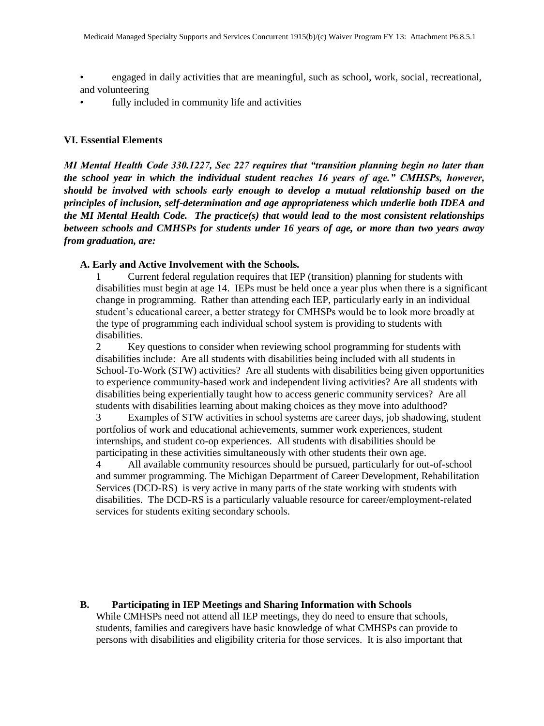- engaged in daily activities that are meaningful, such as school, work, social, recreational, and volunteering
- fully included in community life and activities

## **VI. Essential Elements**

*MI Mental Health Code 330.1227, Sec 227 requires that "transition planning begin no later than the school year in which the individual student reaches 16 years of age." CMHSPs, however, should be involved with schools early enough to develop a mutual relationship based on the principles of inclusion, self-determination and age appropriateness which underlie both IDEA and the MI Mental Health Code. The practice(s) that would lead to the most consistent relationships between schools and CMHSPs for students under 16 years of age, or more than two years away from graduation, are:* 

### **A. Early and Active Involvement with the Schools.**

1 Current federal regulation requires that IEP (transition) planning for students with disabilities must begin at age 14. IEPs must be held once a year plus when there is a significant change in programming. Rather than attending each IEP, particularly early in an individual student's educational career, a better strategy for CMHSPs would be to look more broadly at the type of programming each individual school system is providing to students with disabilities.

2 Key questions to consider when reviewing school programming for students with disabilities include: Are all students with disabilities being included with all students in School-To-Work (STW) activities? Are all students with disabilities being given opportunities to experience community-based work and independent living activities? Are all students with disabilities being experientially taught how to access generic community services? Are all students with disabilities learning about making choices as they move into adulthood?

3 Examples of STW activities in school systems are career days, job shadowing, student portfolios of work and educational achievements, summer work experiences, student internships, and student co-op experiences. All students with disabilities should be participating in these activities simultaneously with other students their own age.

4 All available community resources should be pursued, particularly for out-of-school and summer programming. The Michigan Department of Career Development, Rehabilitation Services (DCD-RS) is very active in many parts of the state working with students with disabilities. The DCD-RS is a particularly valuable resource for career/employment-related services for students exiting secondary schools.

**B. Participating in IEP Meetings and Sharing Information with Schools** While CMHSPs need not attend all IEP meetings, they do need to ensure that schools,

students, families and caregivers have basic knowledge of what CMHSPs can provide to persons with disabilities and eligibility criteria for those services. It is also important that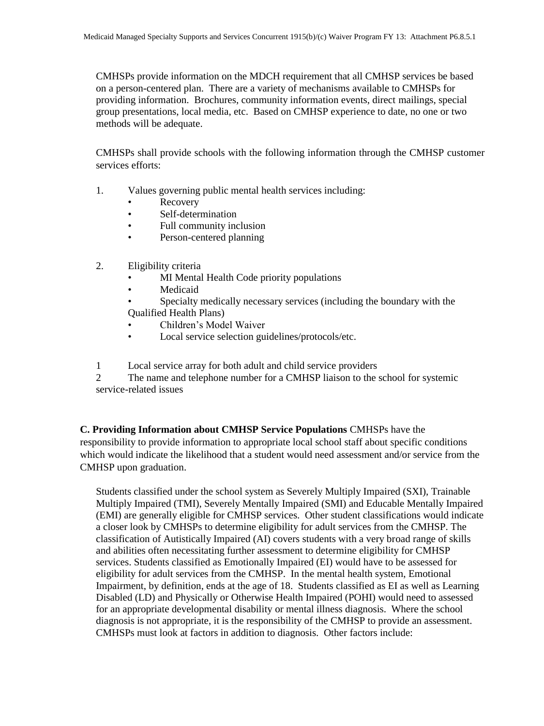CMHSPs provide information on the MDCH requirement that all CMHSP services be based on a person-centered plan. There are a variety of mechanisms available to CMHSPs for providing information. Brochures, community information events, direct mailings, special group presentations, local media, etc. Based on CMHSP experience to date, no one or two methods will be adequate.

CMHSPs shall provide schools with the following information through the CMHSP customer services efforts:

- 1. Values governing public mental health services including:
	- **Recovery**
	- Self-determination
	- Full community inclusion
	- Person-centered planning
- 2. Eligibility criteria
	- MI Mental Health Code priority populations
	- **Medicaid**
	- Specialty medically necessary services (including the boundary with the Qualified Health Plans)
	- Children's Model Waiver
	- Local service selection guidelines/protocols/etc.
- 1 Local service array for both adult and child service providers

2 The name and telephone number for a CMHSP liaison to the school for systemic service-related issues

**C. Providing Information about CMHSP Service Populations** CMHSPs have the responsibility to provide information to appropriate local school staff about specific conditions which would indicate the likelihood that a student would need assessment and/or service from the CMHSP upon graduation.

Students classified under the school system as Severely Multiply Impaired (SXI), Trainable Multiply Impaired (TMI), Severely Mentally Impaired (SMI) and Educable Mentally Impaired (EMI) are generally eligible for CMHSP services. Other student classifications would indicate a closer look by CMHSPs to determine eligibility for adult services from the CMHSP. The classification of Autistically Impaired (AI) covers students with a very broad range of skills and abilities often necessitating further assessment to determine eligibility for CMHSP services. Students classified as Emotionally Impaired (EI) would have to be assessed for eligibility for adult services from the CMHSP. In the mental health system, Emotional Impairment, by definition, ends at the age of 18. Students classified as EI as well as Learning Disabled (LD) and Physically or Otherwise Health Impaired (POHI) would need to assessed for an appropriate developmental disability or mental illness diagnosis. Where the school diagnosis is not appropriate, it is the responsibility of the CMHSP to provide an assessment. CMHSPs must look at factors in addition to diagnosis. Other factors include: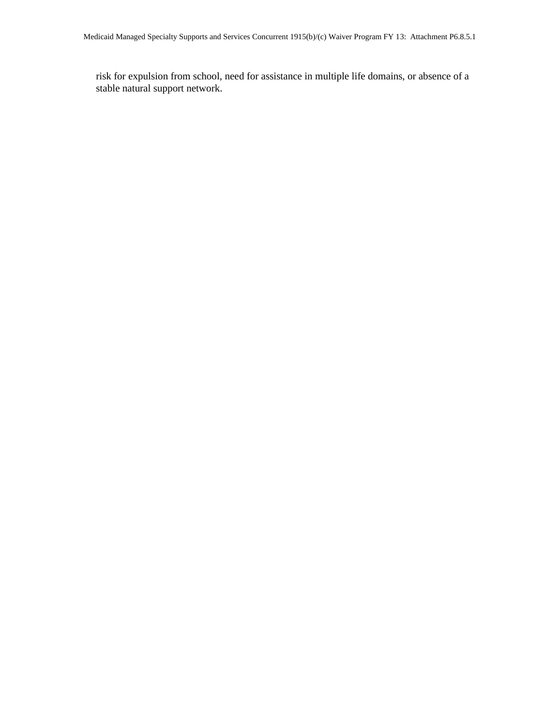risk for expulsion from school, need for assistance in multiple life domains, or absence of a stable natural support network.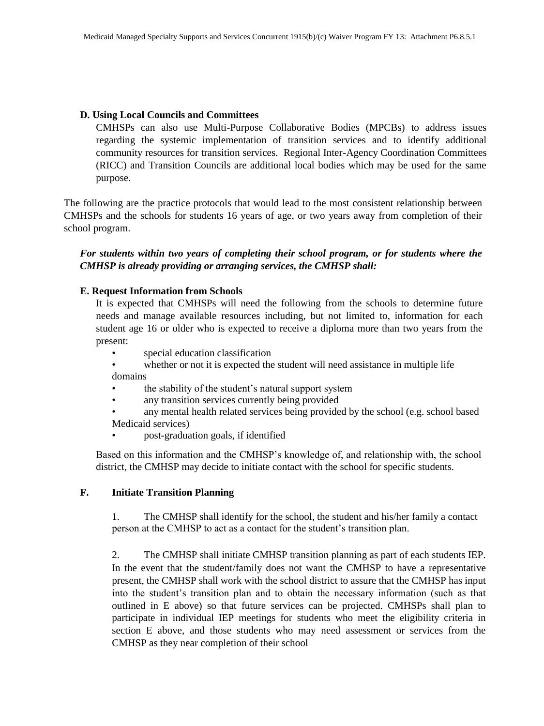## **D. Using Local Councils and Committees**

CMHSPs can also use Multi-Purpose Collaborative Bodies (MPCBs) to address issues regarding the systemic implementation of transition services and to identify additional community resources for transition services. Regional Inter-Agency Coordination Committees (RICC) and Transition Councils are additional local bodies which may be used for the same purpose.

The following are the practice protocols that would lead to the most consistent relationship between CMHSPs and the schools for students 16 years of age, or two years away from completion of their school program.

*For students within two years of completing their school program, or for students where the CMHSP is already providing or arranging services, the CMHSP shall:* 

### **E. Request Information from Schools**

It is expected that CMHSPs will need the following from the schools to determine future needs and manage available resources including, but not limited to, information for each student age 16 or older who is expected to receive a diploma more than two years from the present:

- special education classification
- whether or not it is expected the student will need assistance in multiple life domains
- the stability of the student's natural support system
- any transition services currently being provided
- any mental health related services being provided by the school (e.g. school based Medicaid services)
- post-graduation goals, if identified

Based on this information and the CMHSP's knowledge of, and relationship with, the school district, the CMHSP may decide to initiate contact with the school for specific students.

#### **F. Initiate Transition Planning**

1. The CMHSP shall identify for the school, the student and his/her family a contact person at the CMHSP to act as a contact for the student's transition plan.

2. The CMHSP shall initiate CMHSP transition planning as part of each students IEP. In the event that the student/family does not want the CMHSP to have a representative present, the CMHSP shall work with the school district to assure that the CMHSP has input into the student's transition plan and to obtain the necessary information (such as that outlined in E above) so that future services can be projected. CMHSPs shall plan to participate in individual IEP meetings for students who meet the eligibility criteria in section E above, and those students who may need assessment or services from the CMHSP as they near completion of their school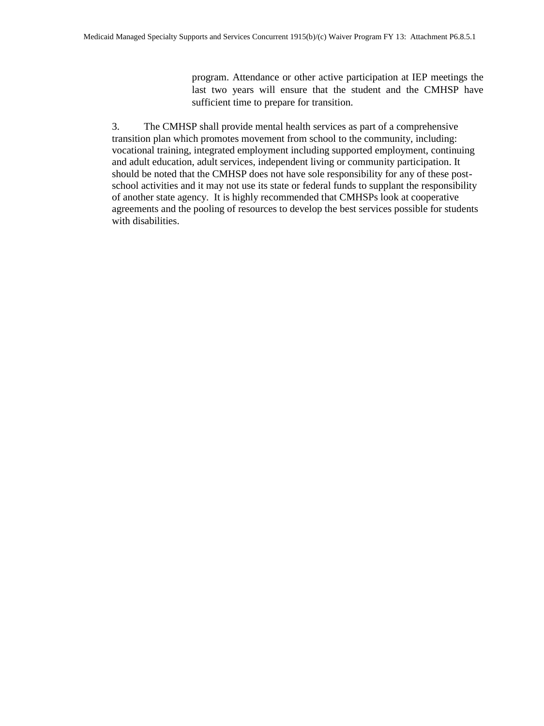program. Attendance or other active participation at IEP meetings the last two years will ensure that the student and the CMHSP have sufficient time to prepare for transition.

3. The CMHSP shall provide mental health services as part of a comprehensive transition plan which promotes movement from school to the community, including: vocational training, integrated employment including supported employment, continuing and adult education, adult services, independent living or community participation. It should be noted that the CMHSP does not have sole responsibility for any of these postschool activities and it may not use its state or federal funds to supplant the responsibility of another state agency. It is highly recommended that CMHSPs look at cooperative agreements and the pooling of resources to develop the best services possible for students with disabilities.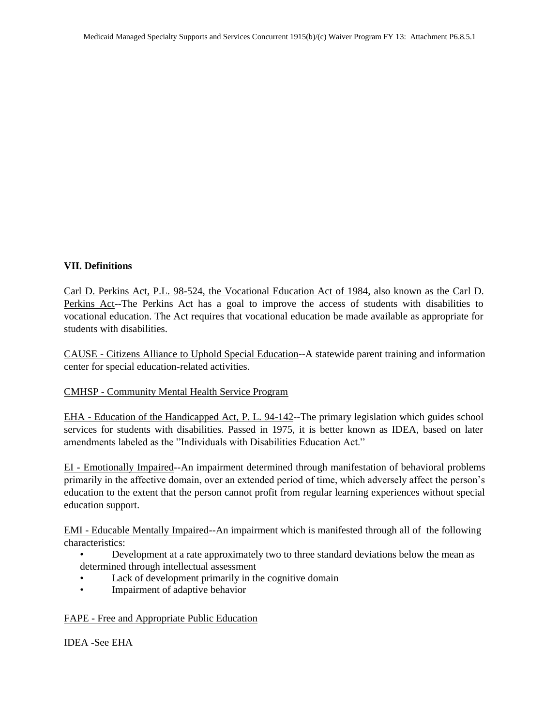## **VII. Definitions**

Carl D. Perkins Act, P.L. 98-524, the Vocational Education Act of 1984, also known as the Carl D. Perkins Act--The Perkins Act has a goal to improve the access of students with disabilities to vocational education. The Act requires that vocational education be made available as appropriate for students with disabilities.

CAUSE - Citizens Alliance to Uphold Special Education--A statewide parent training and information center for special education-related activities.

## CMHSP - Community Mental Health Service Program

EHA - Education of the Handicapped Act, P. L. 94-142--The primary legislation which guides school services for students with disabilities. Passed in 1975, it is better known as IDEA, based on later amendments labeled as the "Individuals with Disabilities Education Act."

EI - Emotionally Impaired--An impairment determined through manifestation of behavioral problems primarily in the affective domain, over an extended period of time, which adversely affect the person's education to the extent that the person cannot profit from regular learning experiences without special education support.

EMI - Educable Mentally Impaired--An impairment which is manifested through all of the following characteristics:

- Development at a rate approximately two to three standard deviations below the mean as determined through intellectual assessment
- Lack of development primarily in the cognitive domain
- Impairment of adaptive behavior

## FAPE - Free and Appropriate Public Education

IDEA -See EHA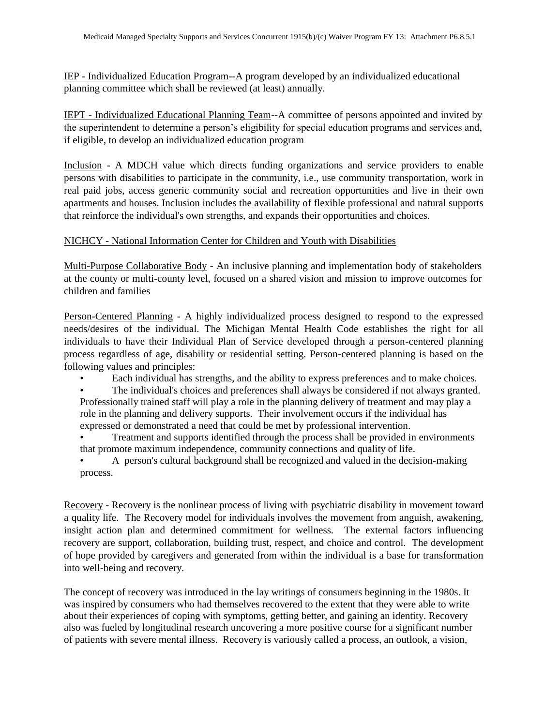IEP - Individualized Education Program--A program developed by an individualized educational planning committee which shall be reviewed (at least) annually.

IEPT - Individualized Educational Planning Team--A committee of persons appointed and invited by the superintendent to determine a person's eligibility for special education programs and services and, if eligible, to develop an individualized education program

Inclusion - A MDCH value which directs funding organizations and service providers to enable persons with disabilities to participate in the community, i.e., use community transportation, work in real paid jobs, access generic community social and recreation opportunities and live in their own apartments and houses. Inclusion includes the availability of flexible professional and natural supports that reinforce the individual's own strengths, and expands their opportunities and choices.

# NICHCY - National Information Center for Children and Youth with Disabilities

Multi-Purpose Collaborative Body - An inclusive planning and implementation body of stakeholders at the county or multi-county level, focused on a shared vision and mission to improve outcomes for children and families

Person-Centered Planning - A highly individualized process designed to respond to the expressed needs/desires of the individual. The Michigan Mental Health Code establishes the right for all individuals to have their Individual Plan of Service developed through a person-centered planning process regardless of age, disability or residential setting. Person-centered planning is based on the following values and principles:

• Each individual has strengths, and the ability to express preferences and to make choices.

The individual's choices and preferences shall always be considered if not always granted. Professionally trained staff will play a role in the planning delivery of treatment and may play a role in the planning and delivery supports. Their involvement occurs if the individual has expressed or demonstrated a need that could be met by professional intervention.

• Treatment and supports identified through the process shall be provided in environments that promote maximum independence, community connections and quality of life.

• A person's cultural background shall be recognized and valued in the decision-making process.

Recovery - Recovery is the nonlinear process of living with psychiatric disability in movement toward a quality life. The Recovery model for individuals involves the movement from anguish, awakening, insight action plan and determined commitment for wellness. The external factors influencing recovery are support, collaboration, building trust, respect, and choice and control. The development of hope provided by caregivers and generated from within the individual is a base for transformation into well-being and recovery.

The concept of recovery was introduced in the lay writings of consumers beginning in the 1980s. It was inspired by consumers who had themselves recovered to the extent that they were able to write about their experiences of coping with symptoms, getting better, and gaining an identity. Recovery also was fueled by longitudinal research uncovering a more positive course for a significant number of patients with severe mental illness. Recovery is variously called a process, an outlook, a vision,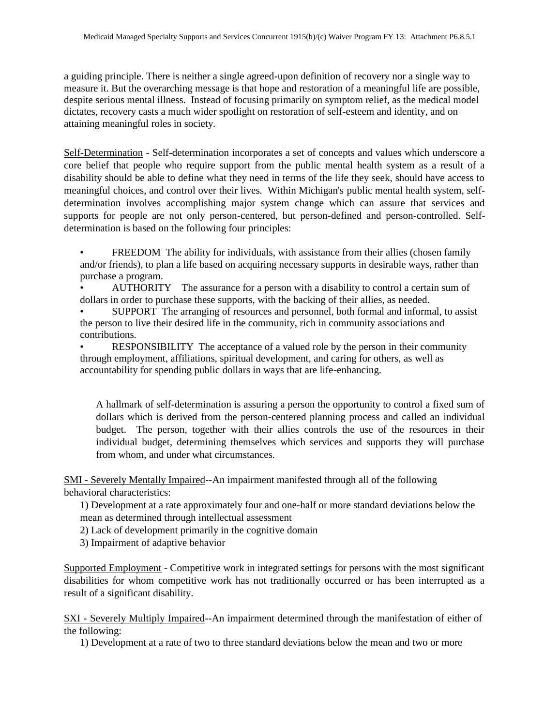a guiding principle. There is neither a single agreed-upon definition of recovery nor a single way to measure it. But the overarching message is that hope and restoration of a meaningful life are possible, despite serious mental illness. Instead of focusing primarily on symptom relief, as the medical model dictates, recovery casts a much wider spotlight on restoration of self-esteem and identity, and on attaining meaningful roles in society.

Self-Determination - Self-determination incorporates a set of concepts and values which underscore a core belief that people who require support from the public mental health system as a result of a disability should be able to define what they need in terms of the life they seek, should have access to meaningful choices, and control over their lives. Within Michigan's public mental health system, selfdetermination involves accomplishing major system change which can assure that services and supports for people are not only person-centered, but person-defined and person-controlled. Selfdetermination is based on the following four principles:

FREEDOM The ability for individuals, with assistance from their allies (chosen family and/or friends), to plan a life based on acquiring necessary supports in desirable ways, rather than purchase a program.

• AUTHORITY The assurance for a person with a disability to control a certain sum of dollars in order to purchase these supports, with the backing of their allies, as needed.

• SUPPORT The arranging of resources and personnel, both formal and informal, to assist the person to live their desired life in the community, rich in community associations and contributions.

• RESPONSIBILITY The acceptance of a valued role by the person in their community through employment, affiliations, spiritual development, and caring for others, as well as accountability for spending public dollars in ways that are life-enhancing.

A hallmark of self-determination is assuring a person the opportunity to control a fixed sum of dollars which is derived from the person-centered planning process and called an individual budget. The person, together with their allies controls the use of the resources in their individual budget, determining themselves which services and supports they will purchase from whom, and under what circumstances.

SMI - Severely Mentally Impaired--An impairment manifested through all of the following behavioral characteristics:

1) Development at a rate approximately four and one-half or more standard deviations below the mean as determined through intellectual assessment

2) Lack of development primarily in the cognitive domain

3) Impairment of adaptive behavior

Supported Employment - Competitive work in integrated settings for persons with the most significant disabilities for whom competitive work has not traditionally occurred or has been interrupted as a result of a significant disability.

SXI - Severely Multiply Impaired--An impairment determined through the manifestation of either of the following:

1) Development at a rate of two to three standard deviations below the mean and two or more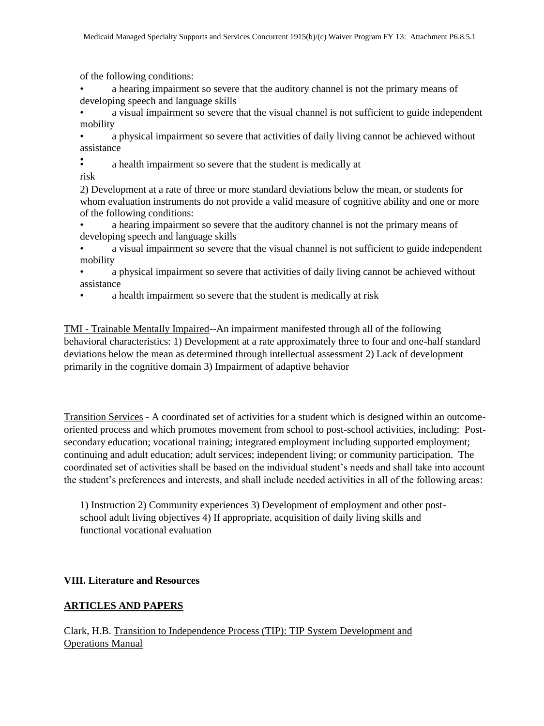of the following conditions:

a hearing impairment so severe that the auditory channel is not the primary means of developing speech and language skills

a visual impairment so severe that the visual channel is not sufficient to guide independent mobility

• a physical impairment so severe that activities of daily living cannot be achieved without assistance

• • a health impairment so severe that the student is medically at risk

2) Development at a rate of three or more standard deviations below the mean, or students for whom evaluation instruments do not provide a valid measure of cognitive ability and one or more of the following conditions:

a hearing impairment so severe that the auditory channel is not the primary means of developing speech and language skills

• a visual impairment so severe that the visual channel is not sufficient to guide independent mobility

• a physical impairment so severe that activities of daily living cannot be achieved without assistance

• a health impairment so severe that the student is medically at risk

TMI - Trainable Mentally Impaired--An impairment manifested through all of the following behavioral characteristics: 1) Development at a rate approximately three to four and one-half standard deviations below the mean as determined through intellectual assessment 2) Lack of development primarily in the cognitive domain 3) Impairment of adaptive behavior

Transition Services - A coordinated set of activities for a student which is designed within an outcomeoriented process and which promotes movement from school to post-school activities, including: Postsecondary education; vocational training; integrated employment including supported employment; continuing and adult education; adult services; independent living; or community participation. The coordinated set of activities shall be based on the individual student's needs and shall take into account the student's preferences and interests, and shall include needed activities in all of the following areas:

1) Instruction 2) Community experiences 3) Development of employment and other postschool adult living objectives 4) If appropriate, acquisition of daily living skills and functional vocational evaluation

# **VIII. Literature and Resources**

# **ARTICLES AND PAPERS**

Clark, H.B. Transition to Independence Process (TIP): TIP System Development and Operations Manual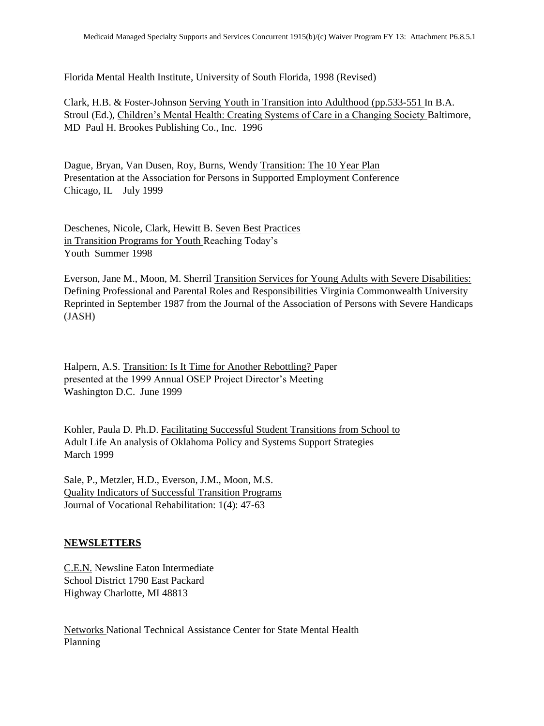Florida Mental Health Institute, University of South Florida, 1998 (Revised)

Clark, H.B. & Foster-Johnson Serving Youth in Transition into Adulthood (pp.533-551 In B.A. Stroul (Ed.), Children's Mental Health: Creating Systems of Care in a Changing Society Baltimore, MD Paul H. Brookes Publishing Co., Inc. 1996

Dague, Bryan, Van Dusen, Roy, Burns, Wendy Transition: The 10 Year Plan Presentation at the Association for Persons in Supported Employment Conference Chicago, IL July 1999

Deschenes, Nicole, Clark, Hewitt B. Seven Best Practices in Transition Programs for Youth Reaching Today's Youth Summer 1998

Everson, Jane M., Moon, M. Sherril Transition Services for Young Adults with Severe Disabilities: Defining Professional and Parental Roles and Responsibilities Virginia Commonwealth University Reprinted in September 1987 from the Journal of the Association of Persons with Severe Handicaps (JASH)

Halpern, A.S. Transition: Is It Time for Another Rebottling? Paper presented at the 1999 Annual OSEP Project Director's Meeting Washington D.C. June 1999

Kohler, Paula D. Ph.D. Facilitating Successful Student Transitions from School to Adult Life An analysis of Oklahoma Policy and Systems Support Strategies March 1999

Sale, P., Metzler, H.D., Everson, J.M., Moon, M.S. Quality Indicators of Successful Transition Programs Journal of Vocational Rehabilitation: 1(4): 47-63

## **NEWSLETTERS**

C.E.N. Newsline Eaton Intermediate School District 1790 East Packard Highway Charlotte, MI 48813

Networks National Technical Assistance Center for State Mental Health Planning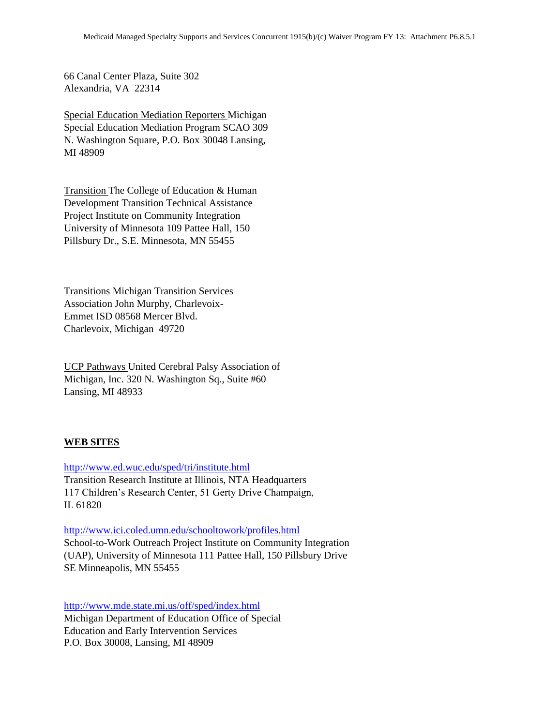66 Canal Center Plaza, Suite 302 Alexandria, VA 22314

Special Education Mediation Reporters Michigan Special Education Mediation Program SCAO 309 N. Washington Square, P.O. Box 30048 Lansing, MI 48909

Transition The College of Education & Human Development Transition Technical Assistance Project Institute on Community Integration University of Minnesota 109 Pattee Hall, 150 Pillsbury Dr., S.E. Minnesota, MN 55455

Transitions Michigan Transition Services Association John Murphy, Charlevoix-Emmet ISD 08568 Mercer Blvd. Charlevoix, Michigan 49720

UCP Pathways United Cerebral Palsy Association of Michigan, Inc. 320 N. Washington Sq., Suite #60 Lansing, MI 48933

## **WEB SITES**

http://www.ed.wuc.edu/sped/tri/institute.html Transition Research Institute at Illinois, NTA Headquarters 117 Children's Research Center, 51 Gerty Drive Champaign, IL 61820

http://www.ici.coled.umn.edu/schooltowork/profiles.html School-to-Work Outreach Project Institute on Community Integration (UAP), University of Minnesota 111 Pattee Hall, 150 Pillsbury Drive SE Minneapolis, MN 55455

http://www.mde.state.mi.us/off/sped/index.html Michigan Department of Education Office of Special Education and Early Intervention Services P.O. Box 30008, Lansing, MI 48909